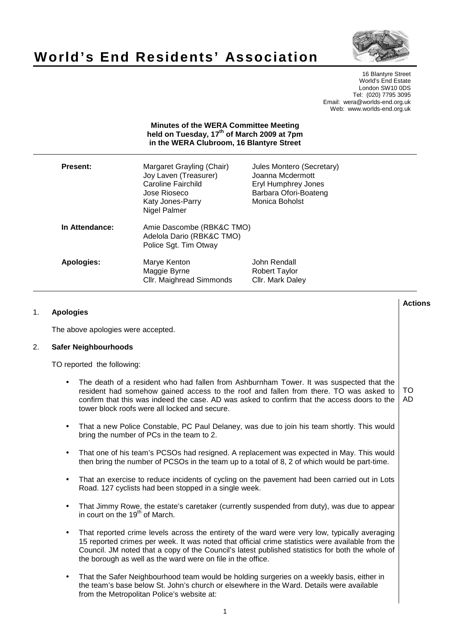# **World's End Residents' Association**



16 Blantyre Street World's End Estate London SW10 0DS Tel: (020) 7795 3095 Email: wera@worlds-end.org.uk Web: www.worlds-end.org.uk

## **Minutes of the WERA Committee Meeting held on Tuesday, 17th of March 2009 at 7pm in the WERA Clubroom, 16 Blantyre Street**

| <b>Present:</b> | Margaret Grayling (Chair)<br>Joy Laven (Treasurer)<br>Caroline Fairchild<br>Jose Rioseco<br>Katy Jones-Parry<br>Nigel Palmer | Jules Montero (Secretary)<br>Joanna Mcdermott<br><b>Eryl Humphrey Jones</b><br>Barbara Ofori-Boateng<br>Monica Boholst |  |  |  |  |
|-----------------|------------------------------------------------------------------------------------------------------------------------------|------------------------------------------------------------------------------------------------------------------------|--|--|--|--|
| In Attendance:  | Amie Dascombe (RBK&C TMO)<br>Adelola Dario (RBK&C TMO)<br>Police Sgt. Tim Otway                                              |                                                                                                                        |  |  |  |  |
| Apologies:      | Marye Kenton<br>Maggie Byrne<br>Cllr. Maighread Simmonds                                                                     | John Rendall<br>Robert Taylor<br>Cllr. Mark Daley                                                                      |  |  |  |  |

#### **Lactions のことには、このことにより、このことにより、このことになります。 そのことには、このことにより、このことにより、このことになります。 そのことには、このことにより、このことには、このことにより、このことにより、このことにより、このことにより、このことにより、このことにより、このことにより、このことにより、このことにより、このことにより、このことにより、このことにより、このことにより、このことによっていることになっ** 1. **Apologies**

The above apologies were accepted.

## 2. **Safer Neighbourhoods**

TO reported the following:

- The death of a resident who had fallen from Ashburnham Tower. It was suspected that the resident had somehow gained access to the roof and fallen from there. TO was asked to confirm that this was indeed the case. AD was asked to confirm that the access doors to the tower block roofs were all locked and secure. TO AD
- That a new Police Constable, PC Paul Delaney, was due to join his team shortly. This would bring the number of PCs in the team to 2.
- That one of his team's PCSOs had resigned. A replacement was expected in May. This would then bring the number of PCSOs in the team up to a total of 8, 2 of which would be part-time.
- That an exercise to reduce incidents of cycling on the pavement had been carried out in Lots Road. 127 cyclists had been stopped in a single week.
- That Jimmy Rowe, the estate's caretaker (currently suspended from duty), was due to appear in court on the  $19<sup>th</sup>$  of March.
- That reported crime levels across the entirety of the ward were very low, typically averaging 15 reported crimes per week. It was noted that official crime statistics were available from the Council. JM noted that a copy of the Council's latest published statistics for both the whole of the borough as well as the ward were on file in the office.
- That the Safer Neighbourhood team would be holding surgeries on a weekly basis, either in the team's base below St. John's church or elsewhere in the Ward. Details were available from the Metropolitan Police's website at: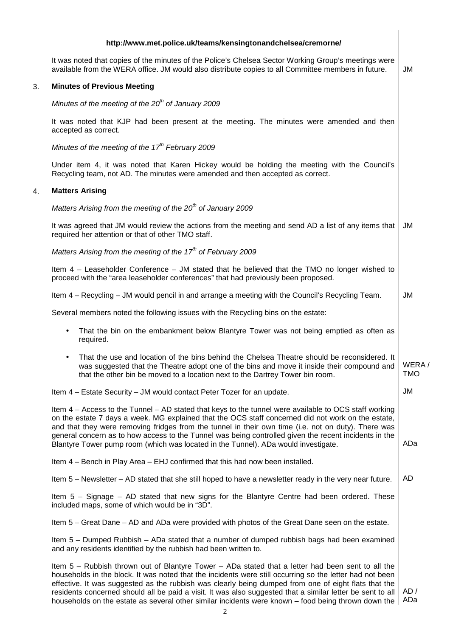### **http://www.met.police.uk/teams/kensingtonandchelsea/cremorne/**

It was noted that copies of the minutes of the Police's Chelsea Sector Working Group's meetings were available from the WERA office. JM would also distribute copies to all Committee members in future. | JM

# 3. **Minutes of Previous Meeting**

Minutes of the meeting of the  $20^{th}$  of January 2009

It was noted that KJP had been present at the meeting. The minutes were amended and then accepted as correct.

Minutes of the meeting of the  $17<sup>th</sup>$  February 2009

Under item 4, it was noted that Karen Hickey would be holding the meeting with the Council's Recycling team, not AD. The minutes were amended and then accepted as correct.

# 4. **Matters Arising**

Matters Arising from the meeting of the  $20^{th}$  of January 2009

It was agreed that JM would review the actions from the meeting and send AD a list of any items that required her attention or that of other TMO staff. JM

Matters Arising from the meeting of the  $17<sup>th</sup>$  of February 2009

Item 4 – Leaseholder Conference – JM stated that he believed that the TMO no longer wished to proceed with the "area leaseholder conferences" that had previously been proposed.

Item 4 – Recycling – JM would pencil in and arrange a meeting with the Council's Recycling Team. JM

Several members noted the following issues with the Recycling bins on the estate:

- That the bin on the embankment below Blantyre Tower was not being emptied as often as required.
- That the use and location of the bins behind the Chelsea Theatre should be reconsidered. It was suggested that the Theatre adopt one of the bins and move it inside their compound and that the other bin be moved to a location next to the Dartrey Tower bin room. WERA / TMO

Item 4 – Estate Security – JM would contact Peter Tozer for an update.

Item 4 – Access to the Tunnel – AD stated that keys to the tunnel were available to OCS staff working on the estate 7 days a week. MG explained that the OCS staff concerned did not work on the estate, and that they were removing fridges from the tunnel in their own time (i.e. not on duty). There was general concern as to how access to the Tunnel was being controlled given the recent incidents in the Blantyre Tower pump room (which was located in the Tunnel). ADa would investigate. ADa

Item 4 – Bench in Play Area – EHJ confirmed that this had now been installed.

Item 5 – Newsletter – AD stated that she still hoped to have a newsletter ready in the very near future. AD

Item 5 – Signage – AD stated that new signs for the Blantyre Centre had been ordered. These included maps, some of which would be in "3D".

Item 5 – Great Dane – AD and ADa were provided with photos of the Great Dane seen on the estate.

Item 5 – Dumped Rubbish – ADa stated that a number of dumped rubbish bags had been examined and any residents identified by the rubbish had been written to.

Item 5 – Rubbish thrown out of Blantyre Tower – ADa stated that a letter had been sent to all the households in the block. It was noted that the incidents were still occurring so the letter had not been effective. It was suggested as the rubbish was clearly being dumped from one of eight flats that the residents concerned should all be paid a visit. It was also suggested that a similar letter be sent to all households on the estate as several other similar incidents were known – food being thrown down the | ADa AD /

JM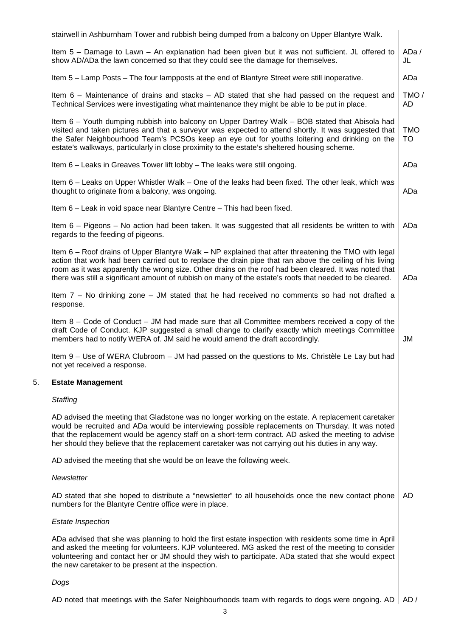|    | stairwell in Ashburnham Tower and rubbish being dumped from a balcony on Upper Blantyre Walk.                                                                                                                                                                                                                                                                                                                                          |                  |  |  |  |
|----|----------------------------------------------------------------------------------------------------------------------------------------------------------------------------------------------------------------------------------------------------------------------------------------------------------------------------------------------------------------------------------------------------------------------------------------|------------------|--|--|--|
|    | Item 5 - Damage to Lawn - An explanation had been given but it was not sufficient. JL offered to<br>show AD/ADa the lawn concerned so that they could see the damage for themselves.                                                                                                                                                                                                                                                   | ADa/<br>JL       |  |  |  |
|    | Item 5 - Lamp Posts - The four lampposts at the end of Blantyre Street were still inoperative.                                                                                                                                                                                                                                                                                                                                         | ADa              |  |  |  |
|    | Item $6$ – Maintenance of drains and stacks – AD stated that she had passed on the request and<br>Technical Services were investigating what maintenance they might be able to be put in place.                                                                                                                                                                                                                                        | TMO/<br>AD       |  |  |  |
|    | Item 6 - Youth dumping rubbish into balcony on Upper Dartrey Walk - BOB stated that Abisola had<br>visited and taken pictures and that a surveyor was expected to attend shortly. It was suggested that<br>the Safer Neighbourhood Team's PCSOs keep an eye out for youths loitering and drinking on the<br>estate's walkways, particularly in close proximity to the estate's sheltered housing scheme.                               | <b>TMO</b><br>TO |  |  |  |
|    | Item 6 - Leaks in Greaves Tower lift lobby - The leaks were still ongoing.                                                                                                                                                                                                                                                                                                                                                             | ADa              |  |  |  |
|    | Item 6 - Leaks on Upper Whistler Walk - One of the leaks had been fixed. The other leak, which was<br>thought to originate from a balcony, was ongoing.                                                                                                                                                                                                                                                                                |                  |  |  |  |
|    | Item 6 – Leak in void space near Blantyre Centre – This had been fixed.                                                                                                                                                                                                                                                                                                                                                                |                  |  |  |  |
|    | Item 6 - Pigeons - No action had been taken. It was suggested that all residents be written to with<br>regards to the feeding of pigeons.                                                                                                                                                                                                                                                                                              | ADa              |  |  |  |
|    | Item 6 – Roof drains of Upper Blantyre Walk – NP explained that after threatening the TMO with legal<br>action that work had been carried out to replace the drain pipe that ran above the ceiling of his living<br>room as it was apparently the wrong size. Other drains on the roof had been cleared. It was noted that<br>there was still a significant amount of rubbish on many of the estate's roofs that needed to be cleared. | ADa              |  |  |  |
|    | Item 7 – No drinking zone – JM stated that he had received no comments so had not drafted a<br>response.                                                                                                                                                                                                                                                                                                                               |                  |  |  |  |
|    | Item $8 -$ Code of Conduct $-$ JM had made sure that all Committee members received a copy of the<br>draft Code of Conduct. KJP suggested a small change to clarify exactly which meetings Committee<br>members had to notify WERA of. JM said he would amend the draft accordingly.                                                                                                                                                   | JM               |  |  |  |
|    | Item 9 – Use of WERA Clubroom – JM had passed on the questions to Ms. Christèle Le Lay but had<br>not yet received a response.                                                                                                                                                                                                                                                                                                         |                  |  |  |  |
| 5. | <b>Estate Management</b>                                                                                                                                                                                                                                                                                                                                                                                                               |                  |  |  |  |
|    | <b>Staffing</b>                                                                                                                                                                                                                                                                                                                                                                                                                        |                  |  |  |  |
|    | AD advised the meeting that Gladstone was no longer working on the estate. A replacement caretaker<br>would be recruited and ADa would be interviewing possible replacements on Thursday. It was noted<br>that the replacement would be agency staff on a short-term contract. AD asked the meeting to advise<br>her should they believe that the replacement caretaker was not carrying out his duties in any way.                    |                  |  |  |  |
|    | AD advised the meeting that she would be on leave the following week.                                                                                                                                                                                                                                                                                                                                                                  |                  |  |  |  |
|    | Newsletter                                                                                                                                                                                                                                                                                                                                                                                                                             |                  |  |  |  |
|    | AD stated that she hoped to distribute a "newsletter" to all households once the new contact phone<br>numbers for the Blantyre Centre office were in place.                                                                                                                                                                                                                                                                            | AD               |  |  |  |
|    | <b>Estate Inspection</b>                                                                                                                                                                                                                                                                                                                                                                                                               |                  |  |  |  |
|    | ADa advised that she was planning to hold the first estate inspection with residents some time in April<br>and asked the meeting for volunteers. KJP volunteered. MG asked the rest of the meeting to consider<br>volunteering and contact her or JM should they wish to participate. ADa stated that she would expect<br>the new caretaker to be present at the inspection.                                                           |                  |  |  |  |
|    | Dogs                                                                                                                                                                                                                                                                                                                                                                                                                                   |                  |  |  |  |
|    | AD noted that meetings with the Safer Neighbourhoods team with regards to dogs were ongoing. AD                                                                                                                                                                                                                                                                                                                                        | AD /             |  |  |  |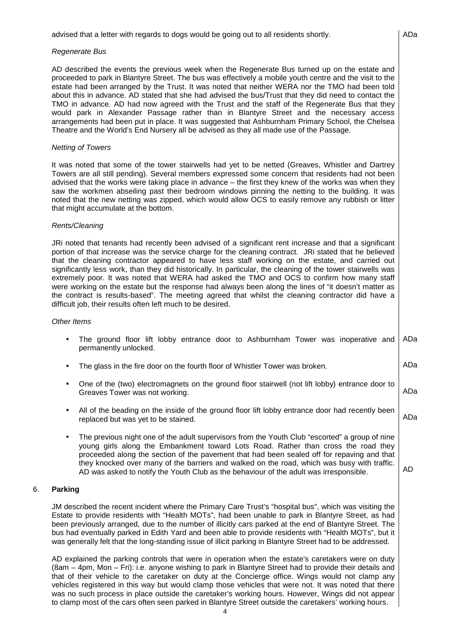#### Regenerate Bus

AD described the events the previous week when the Regenerate Bus turned up on the estate and proceeded to park in Blantyre Street. The bus was effectively a mobile youth centre and the visit to the estate had been arranged by the Trust. It was noted that neither WERA nor the TMO had been told about this in advance. AD stated that she had advised the bus/Trust that they did need to contact the TMO in advance. AD had now agreed with the Trust and the staff of the Regenerate Bus that they would park in Alexander Passage rather than in Blantyre Street and the necessary access arrangements had been put in place. It was suggested that Ashburnham Primary School, the Chelsea Theatre and the World's End Nursery all be advised as they all made use of the Passage.

## Netting of Towers

It was noted that some of the tower stairwells had yet to be netted (Greaves, Whistler and Dartrey Towers are all still pending). Several members expressed some concern that residents had not been advised that the works were taking place in advance – the first they knew of the works was when they saw the workmen abseiling past their bedroom windows pinning the netting to the building. It was noted that the new netting was zipped, which would allow OCS to easily remove any rubbish or litter that might accumulate at the bottom.

#### Rents/Cleaning

JRi noted that tenants had recently been advised of a significant rent increase and that a significant portion of that increase was the service charge for the cleaning contract. JRi stated that he believed that the cleaning contractor appeared to have less staff working on the estate, and carried out significantly less work, than they did historically. In particular, the cleaning of the tower stairwells was extremely poor. It was noted that WERA had asked the TMO and OCS to confirm how many staff were working on the estate but the response had always been along the lines of "it doesn't matter as the contract is results-based". The meeting agreed that whilst the cleaning contractor did have a difficult job, their results often left much to be desired.

#### Other Items

|                       |  |  |  |  |  |  |  | The ground floor lift lobby entrance door to Ashburnham Tower was inoperative and ADa |  |  |  |  |
|-----------------------|--|--|--|--|--|--|--|---------------------------------------------------------------------------------------|--|--|--|--|
| permanently unlocked. |  |  |  |  |  |  |  |                                                                                       |  |  |  |  |

- The glass in the fire door on the fourth floor of Whistler Tower was broken.
- One of the (two) electromagnets on the ground floor stairwell (not lift lobby) entrance door to Greaves Tower was not working. ADa
- All of the beading on the inside of the ground floor lift lobby entrance door had recently been replaced but was yet to be stained. ADa
- The previous night one of the adult supervisors from the Youth Club "escorted" a group of nine young girls along the Embankment toward Lots Road. Rather than cross the road they proceeded along the section of the pavement that had been sealed off for repaving and that they knocked over many of the barriers and walked on the road, which was busy with traffic. AD was asked to notify the Youth Club as the behaviour of the adult was irresponsible.

# 6. **Parking**

JM described the recent incident where the Primary Care Trust's "hospital bus", which was visiting the Estate to provide residents with "Health MOTs", had been unable to park in Blantyre Street, as had been previously arranged, due to the number of illicitly cars parked at the end of Blantyre Street. The bus had eventually parked in Edith Yard and been able to provide residents with "Health MOTs", but it was generally felt that the long-standing issue of illicit parking in Blantyre Street had to be addressed.

AD explained the parking controls that were in operation when the estate's caretakers were on duty (8am – 4pm, Mon – Fri): i.e. anyone wishing to park in Blantyre Street had to provide their details and that of their vehicle to the caretaker on duty at the Concierge office. Wings would not clamp any vehicles registered in this way but would clamp those vehicles that were not. It was noted that there was no such process in place outside the caretaker's working hours. However, Wings did not appear to clamp most of the cars often seen parked in Blantyre Street outside the caretakers' working hours.

ADa

ADa

AD